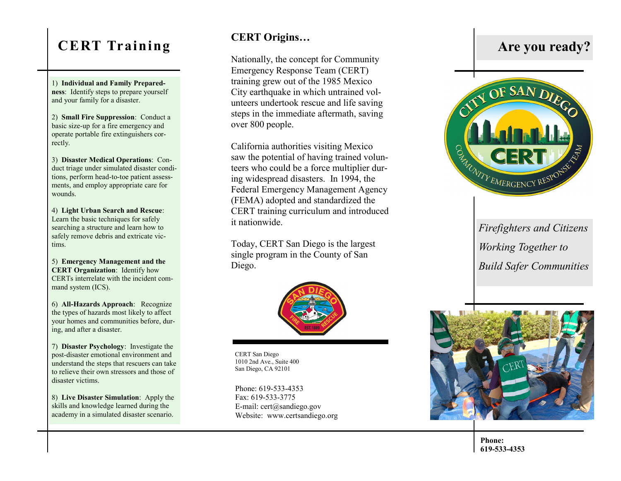# **CERT Training**

1) **Individual and Family Preparedness**: Identify steps to prepare yourself and your family for a disaster.

2) **Small Fire Suppression**: Conduct a basic size -up for a fire emergency and operate portable fire extinguishers correctly.

3) **Disaster Medical Operations**: Conduct triage under simulated disaster conditions, perform head-to-toe patient assessments, and employ appropriate care for wounds.

4) **Light Urban Search and Rescue**: Learn the basic techniques for safely searching a structure and learn how to safely remove debris and extricate victims.

5) **Emergency Management and the CERT Organization**: Identify how CERTs interrelate with the incident command system (ICS).

6) **All -Hazards Approach**: Recognize the types of hazards most likely to affect your homes and communities before, during, and after a disaster.

7) **Disaster Psychology**: Investigate the post -disaster emotional environment and understand the steps that rescuers can take to relieve their own stressors and those of disaster victims.

8) **Live Disaster Simulation**: Apply the skills and knowledge learned during the academy in a simulated disaster scenario.

### **CERT Origins…**

Nationally, the concept for Community Emergency Response Team (CERT) training grew out of the 1985 Mexico City earthquake in which untrained volunteers undertook rescue and life saving steps in the immediate aftermath, saving over 800 people.

California authorities visiting Mexico saw the potential of having trained volunteers who could be a force multiplier during widespread disasters. In 1994, the Federal Emergency Management Agency (FEMA) adopted and standardized the CERT training curriculum and introduced it nationwide.

Today, CERT San Diego is the largest single program in the County of San Diego.



CERT San Diego 1010 2nd Ave., Suite 400 San Diego, CA 92101

Phone: 619-533-4353 Fax: 619-533-3775 E -mail: cert@sandiego.gov Website: www.certsandiego.org





*Firefighters and Citizens Working Together to Build Safer Communities*



**Phone: 619 -533 -4353**